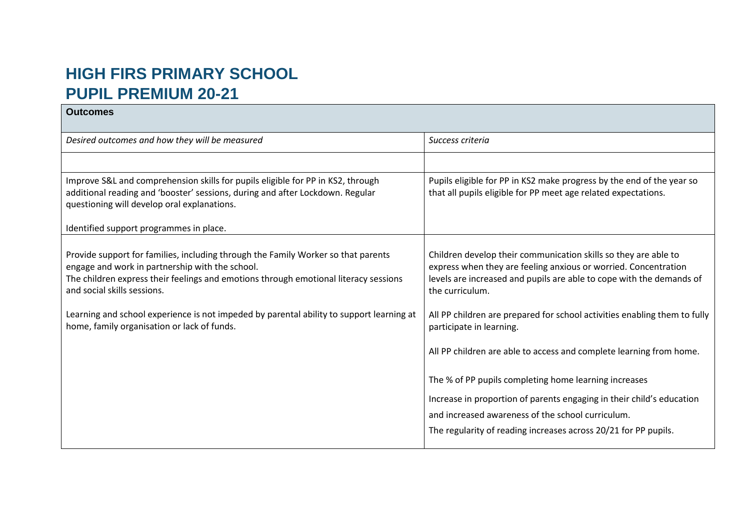## **HIGH FIRS PRIMARY SCHOOL PUPIL PREMIUM 20-21**

| <b>Outcomes</b>                                                                                                                                                                                                                                             |                                                                                                                                                                                                                               |
|-------------------------------------------------------------------------------------------------------------------------------------------------------------------------------------------------------------------------------------------------------------|-------------------------------------------------------------------------------------------------------------------------------------------------------------------------------------------------------------------------------|
| Desired outcomes and how they will be measured                                                                                                                                                                                                              | Success criteria                                                                                                                                                                                                              |
|                                                                                                                                                                                                                                                             |                                                                                                                                                                                                                               |
| Improve S&L and comprehension skills for pupils eligible for PP in KS2, through<br>additional reading and 'booster' sessions, during and after Lockdown. Regular<br>questioning will develop oral explanations.                                             | Pupils eligible for PP in KS2 make progress by the end of the year so<br>that all pupils eligible for PP meet age related expectations.                                                                                       |
| Identified support programmes in place.                                                                                                                                                                                                                     |                                                                                                                                                                                                                               |
| Provide support for families, including through the Family Worker so that parents<br>engage and work in partnership with the school.<br>The children express their feelings and emotions through emotional literacy sessions<br>and social skills sessions. | Children develop their communication skills so they are able to<br>express when they are feeling anxious or worried. Concentration<br>levels are increased and pupils are able to cope with the demands of<br>the curriculum. |
| Learning and school experience is not impeded by parental ability to support learning at<br>home, family organisation or lack of funds.                                                                                                                     | All PP children are prepared for school activities enabling them to fully<br>participate in learning.                                                                                                                         |
|                                                                                                                                                                                                                                                             | All PP children are able to access and complete learning from home.                                                                                                                                                           |
|                                                                                                                                                                                                                                                             | The % of PP pupils completing home learning increases                                                                                                                                                                         |
|                                                                                                                                                                                                                                                             | Increase in proportion of parents engaging in their child's education                                                                                                                                                         |
|                                                                                                                                                                                                                                                             | and increased awareness of the school curriculum.                                                                                                                                                                             |
|                                                                                                                                                                                                                                                             | The regularity of reading increases across 20/21 for PP pupils.                                                                                                                                                               |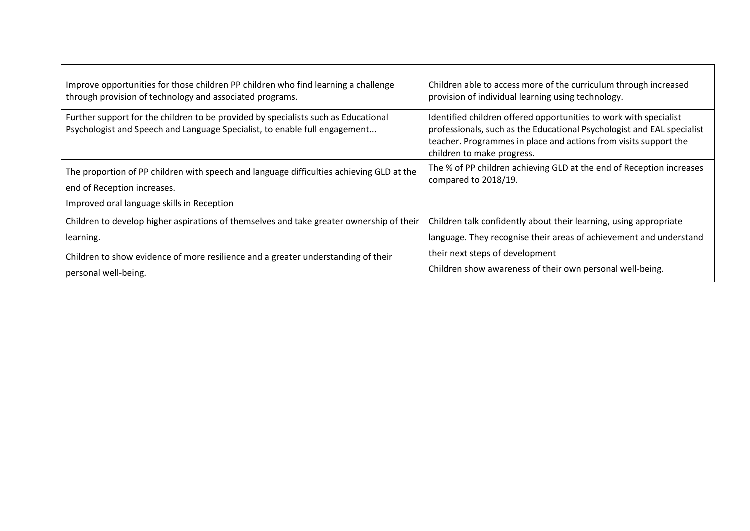| Improve opportunities for those children PP children who find learning a challenge                                                                                    | Children able to access more of the curriculum through increased                                                                                                                                                                              |
|-----------------------------------------------------------------------------------------------------------------------------------------------------------------------|-----------------------------------------------------------------------------------------------------------------------------------------------------------------------------------------------------------------------------------------------|
| through provision of technology and associated programs.                                                                                                              | provision of individual learning using technology.                                                                                                                                                                                            |
| Further support for the children to be provided by specialists such as Educational<br>Psychologist and Speech and Language Specialist, to enable full engagement      | Identified children offered opportunities to work with specialist<br>professionals, such as the Educational Psychologist and EAL specialist<br>teacher. Programmes in place and actions from visits support the<br>children to make progress. |
| The proportion of PP children with speech and language difficulties achieving GLD at the<br>end of Reception increases.<br>Improved oral language skills in Reception | The % of PP children achieving GLD at the end of Reception increases<br>compared to 2018/19.                                                                                                                                                  |
| Children to develop higher aspirations of themselves and take greater ownership of their                                                                              | Children talk confidently about their learning, using appropriate                                                                                                                                                                             |
| learning.                                                                                                                                                             | language. They recognise their areas of achievement and understand                                                                                                                                                                            |
| Children to show evidence of more resilience and a greater understanding of their                                                                                     | their next steps of development                                                                                                                                                                                                               |
| personal well-being.                                                                                                                                                  | Children show awareness of their own personal well-being.                                                                                                                                                                                     |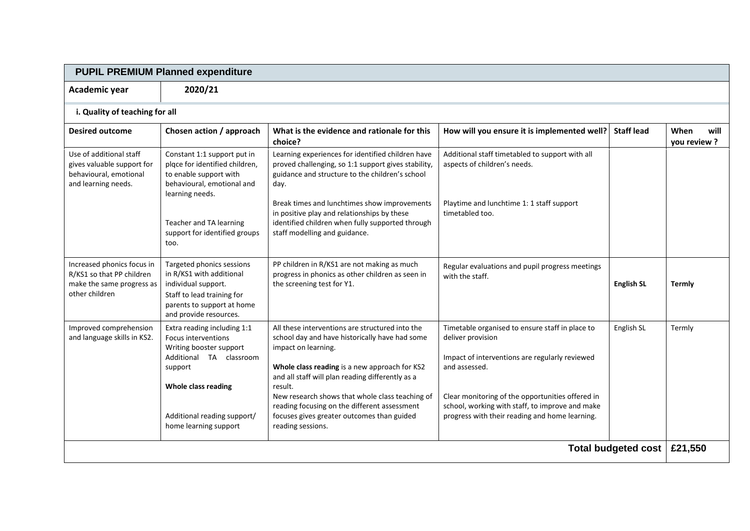| <b>PUPIL PREMIUM Planned expenditure</b>                                                               |                                                                                                                                                                                                           |                                                                                                                                                                                                                                                                                                                                                                                                                |                                                                                                                                                                                                                                                                                                  |                   |                             |  |
|--------------------------------------------------------------------------------------------------------|-----------------------------------------------------------------------------------------------------------------------------------------------------------------------------------------------------------|----------------------------------------------------------------------------------------------------------------------------------------------------------------------------------------------------------------------------------------------------------------------------------------------------------------------------------------------------------------------------------------------------------------|--------------------------------------------------------------------------------------------------------------------------------------------------------------------------------------------------------------------------------------------------------------------------------------------------|-------------------|-----------------------------|--|
| Academic year                                                                                          | 2020/21                                                                                                                                                                                                   |                                                                                                                                                                                                                                                                                                                                                                                                                |                                                                                                                                                                                                                                                                                                  |                   |                             |  |
| i. Quality of teaching for all                                                                         |                                                                                                                                                                                                           |                                                                                                                                                                                                                                                                                                                                                                                                                |                                                                                                                                                                                                                                                                                                  |                   |                             |  |
| <b>Desired outcome</b>                                                                                 | Chosen action / approach                                                                                                                                                                                  | What is the evidence and rationale for this<br>choice?                                                                                                                                                                                                                                                                                                                                                         | How will you ensure it is implemented well?                                                                                                                                                                                                                                                      | <b>Staff lead</b> | When<br>will<br>you review? |  |
| Use of additional staff<br>gives valuable support for<br>behavioural, emotional<br>and learning needs. | Constant 1:1 support put in<br>plqce for identified children,<br>to enable support with<br>behavioural, emotional and<br>learning needs.                                                                  | Learning experiences for identified children have<br>proved challenging, so 1:1 support gives stability,<br>guidance and structure to the children's school<br>day.                                                                                                                                                                                                                                            | Additional staff timetabled to support with all<br>aspects of children's needs.                                                                                                                                                                                                                  |                   |                             |  |
|                                                                                                        | Teacher and TA learning<br>support for identified groups<br>too.                                                                                                                                          | Break times and lunchtimes show improvements<br>in positive play and relationships by these<br>identified children when fully supported through<br>staff modelling and guidance.                                                                                                                                                                                                                               | Playtime and lunchtime 1: 1 staff support<br>timetabled too.                                                                                                                                                                                                                                     |                   |                             |  |
| Increased phonics focus in<br>R/KS1 so that PP children<br>make the same progress as<br>other children | Targeted phonics sessions<br>in R/KS1 with additional<br>individual support.<br>Staff to lead training for<br>parents to support at home<br>and provide resources.                                        | PP children in R/KS1 are not making as much<br>progress in phonics as other children as seen in<br>the screening test for Y1.                                                                                                                                                                                                                                                                                  | Regular evaluations and pupil progress meetings<br>with the staff.                                                                                                                                                                                                                               | <b>English SL</b> | Termly                      |  |
| Improved comprehension<br>and language skills in KS2.                                                  | Extra reading including 1:1<br><b>Focus interventions</b><br>Writing booster support<br>Additional TA classroom<br>support<br>Whole class reading<br>Additional reading support/<br>home learning support | All these interventions are structured into the<br>school day and have historically have had some<br>impact on learning.<br>Whole class reading is a new approach for KS2<br>and all staff will plan reading differently as a<br>result.<br>New research shows that whole class teaching of<br>reading focusing on the different assessment<br>focuses gives greater outcomes than guided<br>reading sessions. | Timetable organised to ensure staff in place to<br>deliver provision<br>Impact of interventions are regularly reviewed<br>and assessed.<br>Clear monitoring of the opportunities offered in<br>school, working with staff, to improve and make<br>progress with their reading and home learning. | English SL        | Termly                      |  |
| <b>Total budgeted cost</b>                                                                             |                                                                                                                                                                                                           |                                                                                                                                                                                                                                                                                                                                                                                                                |                                                                                                                                                                                                                                                                                                  | £21,550           |                             |  |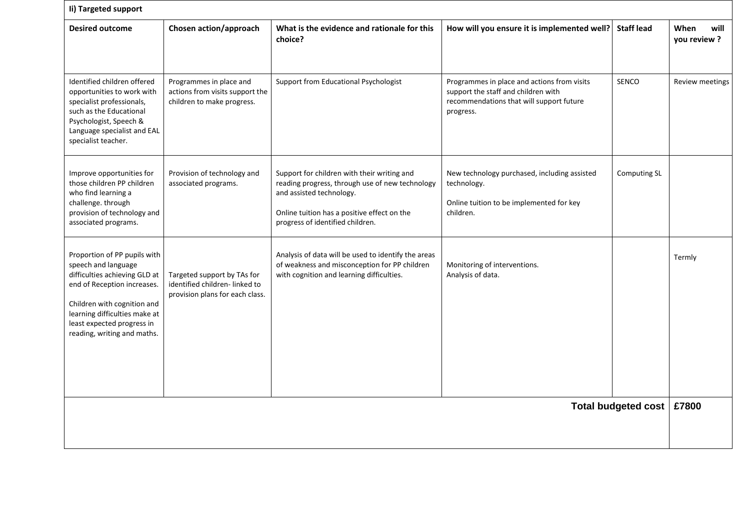|                                                                                                 | li) Targeted support                                                                                                                                                                                          |                                                                                                                                             |                   |                             |  |  |
|-------------------------------------------------------------------------------------------------|---------------------------------------------------------------------------------------------------------------------------------------------------------------------------------------------------------------|---------------------------------------------------------------------------------------------------------------------------------------------|-------------------|-----------------------------|--|--|
| Chosen action/approach                                                                          | What is the evidence and rationale for this<br>choice?                                                                                                                                                        | How will you ensure it is implemented well?                                                                                                 | <b>Staff lead</b> | When<br>will<br>you review? |  |  |
| Programmes in place and<br>actions from visits support the<br>children to make progress.        | Support from Educational Psychologist                                                                                                                                                                         | Programmes in place and actions from visits<br>support the staff and children with<br>recommendations that will support future<br>progress. | <b>SENCO</b>      | Review meetings             |  |  |
| Provision of technology and<br>associated programs.                                             | Support for children with their writing and<br>reading progress, through use of new technology<br>and assisted technology.<br>Online tuition has a positive effect on the<br>progress of identified children. | New technology purchased, including assisted<br>technology.<br>Online tuition to be implemented for key<br>children.                        | Computing SL      |                             |  |  |
| Targeted support by TAs for<br>identified children-linked to<br>provision plans for each class. | Analysis of data will be used to identify the areas<br>of weakness and misconception for PP children<br>with cognition and learning difficulties.                                                             | Monitoring of interventions.<br>Analysis of data.                                                                                           |                   | Termly                      |  |  |
| <b>Total budgeted cost</b>                                                                      |                                                                                                                                                                                                               |                                                                                                                                             |                   | £7800                       |  |  |
|                                                                                                 |                                                                                                                                                                                                               |                                                                                                                                             |                   |                             |  |  |